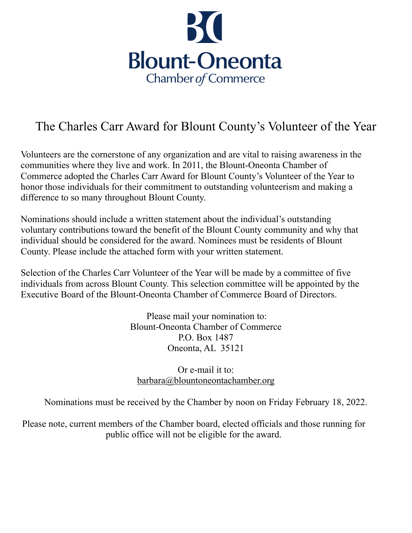

## The Charles Carr Award for Blount County's Volunteer of the Year

Volunteers are the cornerstone of any organization and are vital to raising awareness in the communities where they live and work. In 2011, the Blount-Oneonta Chamber of Commerce adopted the Charles Carr Award for Blount County's Volunteer of the Year to honor those individuals for their commitment to outstanding volunteerism and making a difference to so many throughout Blount County.

Nominations should include a written statement about the individual's outstanding voluntary contributions toward the benefit of the Blount County community and why that individual should be considered for the award. Nominees must be residents of Blount County. Please include the attached form with your written statement.

Selection of the Charles Carr Volunteer of the Year will be made by a committee of five individuals from across Blount County. This selection committee will be appointed by the Executive Board of the Blount-Oneonta Chamber of Commerce Board of Directors.

> Please mail your nomination to: Blount-Oneonta Chamber of Commerce P.O. Box 1487 Oneonta, AL 35121

## Or e-mail it to: [barbara@blountoneontachamber.org](mailto:barbara@blountoneontachamber.org)

Nominations must be received by the Chamber by noon on Friday February 18, 2022.

Please note, current members of the Chamber board, elected officials and those running for public office will not be eligible for the award.